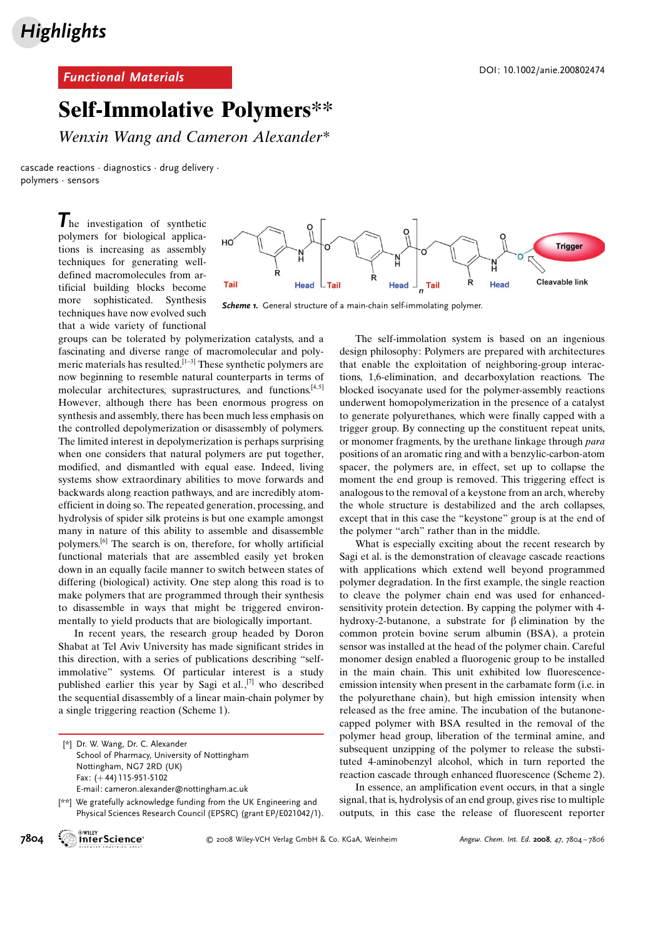## Functional Materials DOI: 10.1002/anie.200802474

## Self-Immolative Polymers\*\*

Wenxin Wang and Cameron Alexander\*

cascade reactions · diagnostics · drug delivery · polymers · sensors

> The investigation of synthetic polymers for biological applications is increasing as assembly techniques for generating welldefined macromolecules from artificial building blocks become more sophisticated. Synthesis techniques have now evolved such that a wide variety of functional



Scheme 1. General structure of a main-chain self-immolating polymer.

groups can be tolerated by polymerization catalysts, and a fascinating and diverse range of macromolecular and polymeric materials has resulted.[1–3] These synthetic polymers are now beginning to resemble natural counterparts in terms of molecular architectures, suprastructures, and functions.<sup>[4,5]</sup> However, although there has been enormous progress on synthesis and assembly, there has been much less emphasis on the controlled depolymerization or disassembly of polymers. The limited interest in depolymerization is perhaps surprising when one considers that natural polymers are put together, modified, and dismantled with equal ease. Indeed, living systems show extraordinary abilities to move forwards and backwards along reaction pathways, and are incredibly atomefficient in doing so. The repeated generation, processing, and hydrolysis of spider silk proteins is but one example amongst many in nature of this ability to assemble and disassemble polymers.[6] The search is on, therefore, for wholly artificial functional materials that are assembled easily yet broken down in an equally facile manner to switch between states of differing (biological) activity. One step along this road is to make polymers that are programmed through their synthesis to disassemble in ways that might be triggered environmentally to yield products that are biologically important.

In recent years, the research group headed by Doron Shabat at Tel Aviv University has made significant strides in this direction, with a series of publications describing "selfimmolative" systems. Of particular interest is a study published earlier this year by Sagi et al., [7] who described the sequential disassembly of a linear main-chain polymer by a single triggering reaction (Scheme 1).

The self-immolation system is based on an ingenious design philosophy: Polymers are prepared with architectures that enable the exploitation of neighboring-group interactions, 1,6-elimination, and decarboxylation reactions. The blocked isocyanate used for the polymer-assembly reactions underwent homopolymerization in the presence of a catalyst to generate polyurethanes, which were finally capped with a trigger group. By connecting up the constituent repeat units, or monomer fragments, by the urethane linkage through para positions of an aromatic ring and with a benzylic-carbon-atom spacer, the polymers are, in effect, set up to collapse the moment the end group is removed. This triggering effect is analogous to the removal of a keystone from an arch, whereby the whole structure is destabilized and the arch collapses, except that in this case the "keystone" group is at the end of the polymer "arch" rather than in the middle.

What is especially exciting about the recent research by Sagi et al. is the demonstration of cleavage cascade reactions with applications which extend well beyond programmed polymer degradation. In the first example, the single reaction to cleave the polymer chain end was used for enhancedsensitivity protein detection. By capping the polymer with 4 hydroxy-2-butanone, a substrate for  $\beta$  elimination by the common protein bovine serum albumin (BSA), a protein sensor was installed at the head of the polymer chain. Careful monomer design enabled a fluorogenic group to be installed in the main chain. This unit exhibited low fluorescenceemission intensity when present in the carbamate form (i.e. in the polyurethane chain), but high emission intensity when released as the free amine. The incubation of the butanonecapped polymer with BSA resulted in the removal of the polymer head group, liberation of the terminal amine, and subsequent unzipping of the polymer to release the substituted 4-aminobenzyl alcohol, which in turn reported the reaction cascade through enhanced fluorescence (Scheme 2).

In essence, an amplification event occurs, in that a single signal, that is, hydrolysis of an end group, gives rise to multiple outputs, in this case the release of fluorescent reporter



**7804 MILEY COMPUTER COMPUTER COMPUTER** COLOGNIES COLOGICAL SCOLOGICAL Verland COLOGICAL SCOLOGICAL SCOLOGICAL SCO<br>**7804** InterScience<sup>®</sup> 6 2008 Wiley-VCH Verlag GmbH & Co. KGaA, Weinheim Angew. Chem. Int. Ed. 2008, 47, 78

<sup>[\*]</sup> Dr. W. Wang, Dr. C. Alexander School of Pharmacy, University of Nottingham Nottingham, NG7 2RD (UK) Fax: (+44) 115-951-5102 E-mail: cameron.alexander@nottingham.ac.uk

<sup>[\*\*]</sup> We gratefully acknowledge funding from the UK Engineering and Physical Sciences Research Council (EPSRC) (grant EP/E021042/1).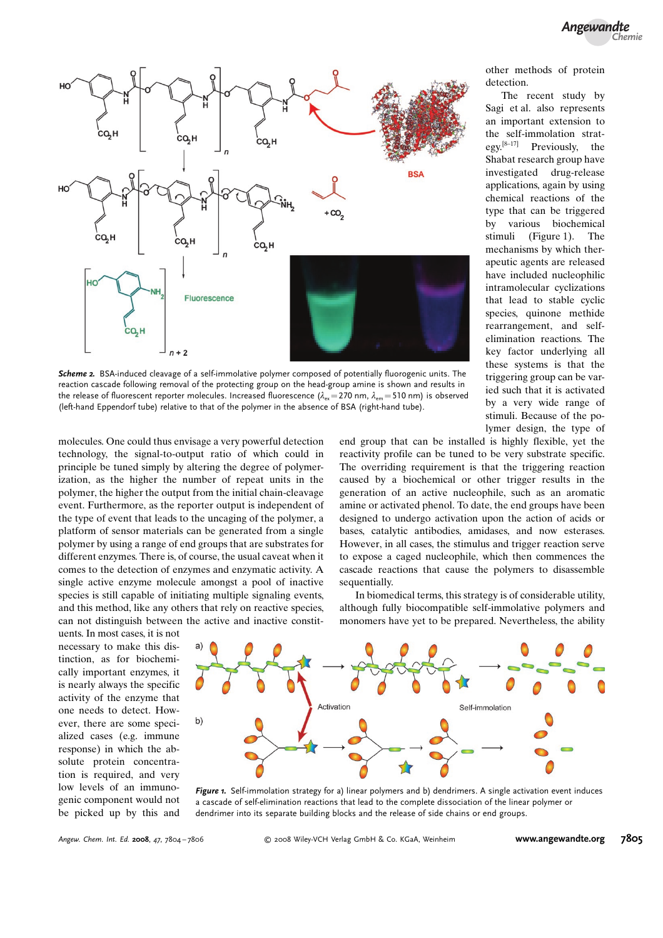

Scheme 2. BSA-induced cleavage of a self-immolative polymer composed of potentially fluorogenic units. The reaction cascade following removal of the protecting group on the head-group amine is shown and results in the release of fluorescent reporter molecules. Increased fluorescence ( $\lambda_{\text{ex}}=270$  nm,  $\lambda_{\text{em}}=510$  nm) is observed (left-hand Eppendorf tube) relative to that of the polymer in the absence of BSA (right-hand tube).

molecules. One could thus envisage a very powerful detection technology, the signal-to-output ratio of which could in principle be tuned simply by altering the degree of polymerization, as the higher the number of repeat units in the polymer, the higher the output from the initial chain-cleavage event. Furthermore, as the reporter output is independent of the type of event that leads to the uncaging of the polymer, a platform of sensor materials can be generated from a single polymer by using a range of end groups that are substrates for different enzymes. There is, of course, the usual caveat when it comes to the detection of enzymes and enzymatic activity. A single active enzyme molecule amongst a pool of inactive species is still capable of initiating multiple signaling events, and this method, like any others that rely on reactive species, can not distinguish between the active and inactive constit-

uents. In most cases, it is not necessary to make this distinction, as for biochemically important enzymes, it is nearly always the specific activity of the enzyme that one needs to detect. However, there are some specialized cases (e.g. immune response) in which the absolute protein concentration is required, and very low levels of an immunogenic component would not be picked up by this and



Figure 1. Self-immolation strategy for a) linear polymers and b) dendrimers. A single activation event induces a cascade of self-elimination reactions that lead to the complete dissociation of the linear polymer or dendrimer into its separate building blocks and the release of side chains or end groups.

other methods of protein detection.

The recent study by Sagi et al. also represents an important extension to the self-immolation strategy.<sup>[8–17]</sup> Previously, the Shabat research group have investigated drug-release applications, again by using chemical reactions of the type that can be triggered by various biochemical stimuli (Figure 1). The mechanisms by which therapeutic agents are released have included nucleophilic intramolecular cyclizations that lead to stable cyclic species, quinone methide rearrangement, and selfelimination reactions. The key factor underlying all these systems is that the triggering group can be varied such that it is activated by a very wide range of stimuli. Because of the polymer design, the type of

end group that can be installed is highly flexible, yet the reactivity profile can be tuned to be very substrate specific. The overriding requirement is that the triggering reaction caused by a biochemical or other trigger results in the generation of an active nucleophile, such as an aromatic amine or activated phenol. To date, the end groups have been designed to undergo activation upon the action of acids or bases, catalytic antibodies, amidases, and now esterases. However, in all cases, the stimulus and trigger reaction serve to expose a caged nucleophile, which then commences the cascade reactions that cause the polymers to disassemble sequentially.

In biomedical terms, this strategy is of considerable utility, although fully biocompatible self-immolative polymers and monomers have yet to be prepared. Nevertheless, the ability